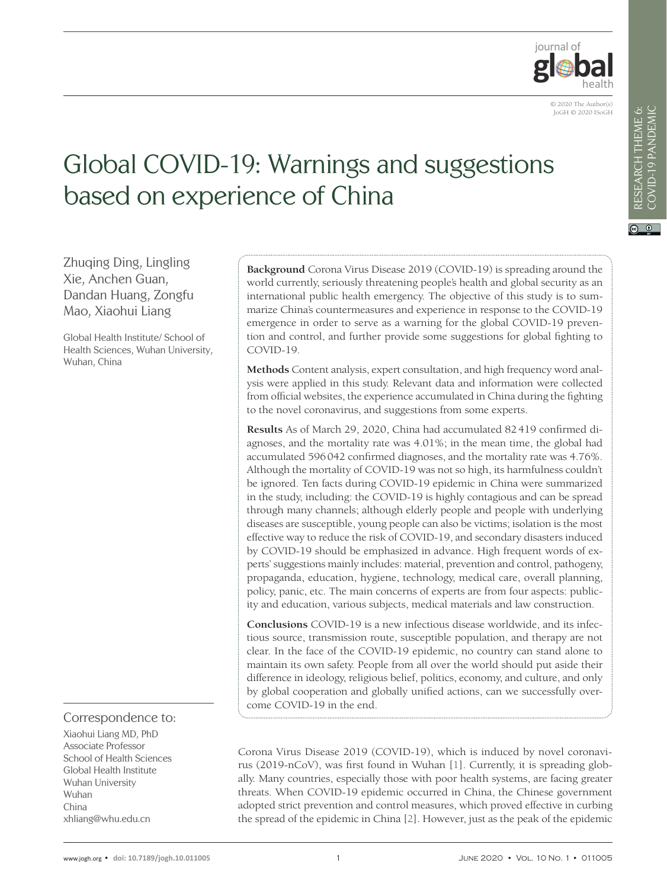

VIEWPOINTS COVID-19 PANDEMIC

 $\odot$   $\odot$ 

# Global COVID-19: Warnings and suggestions based on experience of China

Zhuqing Ding, Lingling Xie, Anchen Guan, Dandan Huang, Zongfu Mao, Xiaohui Liang

Global Health Institute/ School of Health Sciences, Wuhan University, Wuhan, China

# Correspondence to:

Xiaohui Liang MD, PhD Associate Professor School of Health Sciences Global Health Institute Wuhan University Wuhan China xhliang@whu.edu.cn

**Background** Corona Virus Disease 2019 (COVID-19) is spreading around the world currently, seriously threatening people's health and global security as an international public health emergency. The objective of this study is to summarize China's countermeasures and experience in response to the COVID-19 emergence in order to serve as a warning for the global COVID-19 prevention and control, and further provide some suggestions for global fighting to COVID-19.

**Methods** Content analysis, expert consultation, and high frequency word analysis were applied in this study. Relevant data and information were collected from official websites, the experience accumulated in China during the fighting to the novel coronavirus, and suggestions from some experts.

**Results** As of March 29, 2020, China had accumulated 82419 confirmed diagnoses, and the mortality rate was 4.01%; in the mean time, the global had accumulated 596042 confirmed diagnoses, and the mortality rate was 4.76%. Although the mortality of COVID-19 was not so high, its harmfulness couldn't be ignored. Ten facts during COVID-19 epidemic in China were summarized in the study, including: the COVID-19 is highly contagious and can be spread through many channels; although elderly people and people with underlying diseases are susceptible, young people can also be victims; isolation is the most effective way to reduce the risk of COVID-19, and secondary disasters induced by COVID-19 should be emphasized in advance. High frequent words of experts' suggestions mainly includes: material, prevention and control, pathogeny, propaganda, education, hygiene, technology, medical care, overall planning, policy, panic, etc. The main concerns of experts are from four aspects: publicity and education, various subjects, medical materials and law construction.

**Conclusions** COVID-19 is a new infectious disease worldwide, and its infectious source, transmission route, susceptible population, and therapy are not clear. In the face of the COVID-19 epidemic, no country can stand alone to maintain its own safety. People from all over the world should put aside their difference in ideology, religious belief, politics, economy, and culture, and only by global cooperation and globally unified actions, can we successfully overcome COVID-19 in the end.

Corona Virus Disease 2019 (COVID-19), which is induced by novel coronavirus (2019-nCoV), was first found in Wuhan [[1\]](#page-8-0). Currently, it is spreading globally. Many countries, especially those with poor health systems, are facing greater threats. When COVID-19 epidemic occurred in China, the Chinese government adopted strict prevention and control measures, which proved effective in curbing the spread of the epidemic in China [[2](#page-8-1)]. However, just as the peak of the epidemic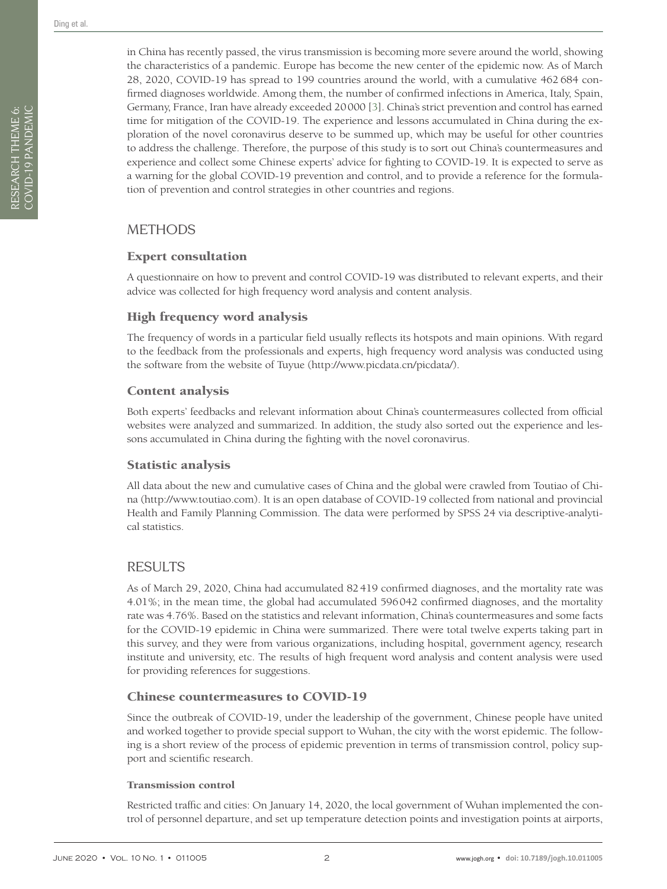RESEARCH THEME 6: COVID-19 PANDEMIC

RESEARCH THEME 6:<br>COVID-19 PANDEMIC

in China has recently passed, the virus transmission is becoming more severe around the world, showing the characteristics of a pandemic. Europe has become the new center of the epidemic now. As of March 28, 2020, COVID-19 has spread to 199 countries around the world, with a cumulative 462 684 confirmed diagnoses worldwide. Among them, the number of confirmed infections in America, Italy, Spain, Germany, France, Iran have already exceeded 20000 [[3](#page-8-2)]. China's strict prevention and control has earned time for mitigation of the COVID-19. The experience and lessons accumulated in China during the exploration of the novel coronavirus deserve to be summed up, which may be useful for other countries to address the challenge. Therefore, the purpose of this study is to sort out China's countermeasures and experience and collect some Chinese experts' advice for fighting to COVID-19. It is expected to serve as a warning for the global COVID-19 prevention and control, and to provide a reference for the formulation of prevention and control strategies in other countries and regions.

# **METHODS**

# Expert consultation

A questionnaire on how to prevent and control COVID-19 was distributed to relevant experts, and their advice was collected for high frequency word analysis and content analysis.

# High frequency word analysis

The frequency of words in a particular field usually reflects its hotspots and main opinions. With regard to the feedback from the professionals and experts, high frequency word analysis was conducted using the software from the website of Tuyue [\(http://www.picdata.cn/picdata/](http://www.picdata.cn/picdata/)).

# Content analysis

Both experts' feedbacks and relevant information about China's countermeasures collected from official websites were analyzed and summarized. In addition, the study also sorted out the experience and lessons accumulated in China during the fighting with the novel coronavirus.

## Statistic analysis

All data about the new and cumulative cases of China and the global were crawled from Toutiao of China [\(http://www.toutiao.com\)](http://www.toutiao.com). It is an open database of COVID-19 collected from national and provincial Health and Family Planning Commission. The data were performed by SPSS 24 via descriptive-analytical statistics.

# RESULTS

As of March 29, 2020, China had accumulated 82419 confirmed diagnoses, and the mortality rate was 4.01%; in the mean time, the global had accumulated 596042 confirmed diagnoses, and the mortality rate was 4.76%. Based on the statistics and relevant information, China's countermeasures and some facts for the COVID-19 epidemic in China were summarized. There were total twelve experts taking part in this survey, and they were from various organizations, including hospital, government agency, research institute and university, etc. The results of high frequent word analysis and content analysis were used for providing references for suggestions.

# Chinese countermeasures to COVID-19

Since the outbreak of COVID-19, under the leadership of the government, Chinese people have united and worked together to provide special support to Wuhan, the city with the worst epidemic. The following is a short review of the process of epidemic prevention in terms of transmission control, policy support and scientific research.

#### Transmission control

Restricted traffic and cities: On January 14, 2020, the local government of Wuhan implemented the control of personnel departure, and set up temperature detection points and investigation points at airports,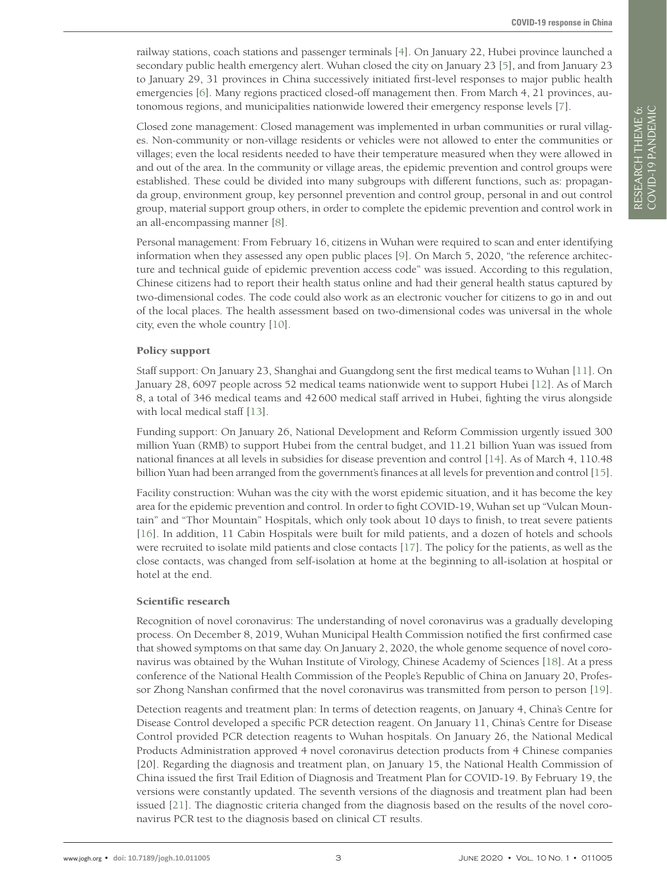railway stations, coach stations and passenger terminals [[4](#page-8-3)]. On January 22, Hubei province launched a secondary public health emergency alert. Wuhan closed the city on January 23 [[5](#page-8-4)], and from January 23 to January 29, 31 provinces in China successively initiated first-level responses to major public health emergencies [[6](#page-8-5)]. Many regions practiced closed-off management then. From March 4, 21 provinces, autonomous regions, and municipalities nationwide lowered their emergency response levels [\[7](#page-8-6)].

Closed zone management: Closed management was implemented in urban communities or rural villages. Non-community or non-village residents or vehicles were not allowed to enter the communities or villages; even the local residents needed to have their temperature measured when they were allowed in and out of the area. In the community or village areas, the epidemic prevention and control groups were established. These could be divided into many subgroups with different functions, such as: propaganda group, environment group, key personnel prevention and control group, personal in and out control group, material support group others, in order to complete the epidemic prevention and control work in an all-encompassing manner [[8](#page-8-7)].

Personal management: From February 16, citizens in Wuhan were required to scan and enter identifying information when they assessed any open public places [[9\]](#page-8-8). On March 5, 2020, "the reference architecture and technical guide of epidemic prevention access code" was issued. According to this regulation, Chinese citizens had to report their health status online and had their general health status captured by two-dimensional codes. The code could also work as an electronic voucher for citizens to go in and out of the local places. The health assessment based on two-dimensional codes was universal in the whole city, even the whole country [[10\]](#page-8-9).

#### Policy support

Staff support: On January 23, Shanghai and Guangdong sent the first medical teams to Wuhan [[11](#page-8-10)]. On January 28, 6097 people across 52 medical teams nationwide went to support Hubei [[12\]](#page-8-11). As of March 8, a total of 346 medical teams and 42600 medical staff arrived in Hubei, fighting the virus alongside with local medical staff [[13](#page-8-12)].

Funding support: On January 26, National Development and Reform Commission urgently issued 300 million Yuan (RMB) to support Hubei from the central budget, and 11.21 billion Yuan was issued from national finances at all levels in subsidies for disease prevention and control [[14](#page-8-13)]. As of March 4, 110.48 billion Yuan had been arranged from the government's finances at all levels for prevention and control [[15](#page-8-14)].

Facility construction: Wuhan was the city with the worst epidemic situation, and it has become the key area for the epidemic prevention and control. In order to fight COVID-19, Wuhan set up "Vulcan Mountain" and "Thor Mountain" Hospitals, which only took about 10 days to finish, to treat severe patients [[16](#page-8-15)]. In addition, 11 Cabin Hospitals were built for mild patients, and a dozen of hotels and schools were recruited to isolate mild patients and close contacts [\[17](#page-8-16)]. The policy for the patients, as well as the close contacts, was changed from self-isolation at home at the beginning to all-isolation at hospital or hotel at the end.

#### Scientific research

Recognition of novel coronavirus: The understanding of novel coronavirus was a gradually developing process. On December 8, 2019, Wuhan Municipal Health Commission notified the first confirmed case that showed symptoms on that same day. On January 2, 2020, the whole genome sequence of novel coronavirus was obtained by the Wuhan Institute of Virology, Chinese Academy of Sciences [[18](#page-8-17)]. At a press conference of the National Health Commission of the People's Republic of China on January 20, Professor Zhong Nanshan confirmed that the novel coronavirus was transmitted from person to person [[19\]](#page-8-18).

Detection reagents and treatment plan: In terms of detection reagents, on January 4, China's Centre for Disease Control developed a specific PCR detection reagent. On January 11, China's Centre for Disease Control provided PCR detection reagents to Wuhan hospitals. On January 26, the National Medical Products Administration approved 4 novel coronavirus detection products from 4 Chinese companies [20]. Regarding the diagnosis and treatment plan, on January 15, the National Health Commission of China issued the first Trail Edition of Diagnosis and Treatment Plan for COVID-19. By February 19, the versions were constantly updated. The seventh versions of the diagnosis and treatment plan had been issued [[21\]](#page-8-19). The diagnostic criteria changed from the diagnosis based on the results of the novel coronavirus PCR test to the diagnosis based on clinical CT results.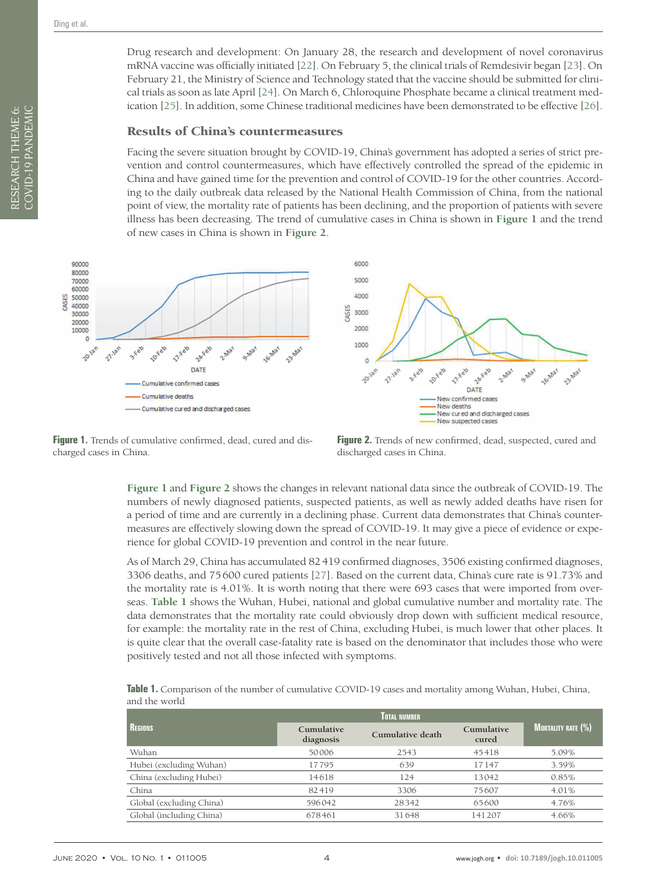Drug research and development: On January 28, the research and development of novel coronavirus mRNA vaccine was officially initiated [[22](#page-8-20)]. On February 5, the clinical trials of Remdesivir began [[23](#page-8-21)]. On February 21, the Ministry of Science and Technology stated that the vaccine should be submitted for clinical trials as soon as late April [[24](#page-8-22)]. On March 6, Chloroquine Phosphate became a clinical treatment medication [[25](#page-8-23)]. In addition, some Chinese traditional medicines have been demonstrated to be effective [[26](#page-8-24)].

#### Results of China's countermeasures

Facing the severe situation brought by COVID-19, China's government has adopted a series of strict prevention and control countermeasures, which have effectively controlled the spread of the epidemic in China and have gained time for the prevention and control of COVID-19 for the other countries. According to the daily outbreak data released by the National Health Commission of China, from the national point of view, the mortality rate of patients has been declining, and the proportion of patients with severe illness has been decreasing. The trend of cumulative cases in China is shown in **[Figure](#page-3-0) 1** and the trend of new cases in China is shown in **[Figure](#page-3-1) 2**.

<span id="page-3-0"></span>

Figure 1. Trends of cumulative confirmed, dead, cured and discharged cases in China.

<span id="page-3-1"></span>

**Figure 2.** Trends of new confirmed, dead, suspected, cured and discharged cases in China.

**[Figure](#page-3-0) 1** and **[Figure](#page-3-1) 2** shows the changes in relevant national data since the outbreak of COVID-19. The numbers of newly diagnosed patients, suspected patients, as well as newly added deaths have risen for a period of time and are currently in a declining phase. Current data demonstrates that China's countermeasures are effectively slowing down the spread of COVID-19. It may give a piece of evidence or experience for global COVID-19 prevention and control in the near future.

As of March 29, China has accumulated 82419 confirmed diagnoses, 3506 existing confirmed diagnoses, 3306 deaths, and 75600 cured patients [\[27\]](#page-8-25). Based on the current data, China's cure rate is 91.73% and the mortality rate is 4.01%. It is worth noting that there were 693 cases that were imported from overseas. **[Table](#page-3-2) 1** shows the Wuhan, Hubei, national and global cumulative number and mortality rate. The data demonstrates that the mortality rate could obviously drop down with sufficient medical resource, for example: the mortality rate in the rest of China, excluding Hubei, is much lower that other places. It is quite clear that the overall case-fatality rate is based on the denominator that includes those who were positively tested and not all those infected with symptoms.

<span id="page-3-2"></span>**Table 1.** Comparison of the number of cumulative COVID-19 cases and mortality among Wuhan, Hubei, China, and the world

| <b>REGIONS</b>           | <b>Cumulative</b><br>diagnosis | Cumulative death | Cumulative<br>cured | <b>MORTALITY RATE (%)</b> |
|--------------------------|--------------------------------|------------------|---------------------|---------------------------|
| Wuhan                    | 50006                          | 2543             | 45418               | 5.09%                     |
| Hubei (excluding Wuhan)  | 17795                          | 639              | 17147               | 3.59%                     |
| China (excluding Hubei)  | 14618                          | 124              | 13042               | 0.85%                     |
| China                    | 82419                          | 3306             | 75607               | 4.01%                     |
| Global (excluding China) | 596042                         | 28342            | 65600               | 4.76%                     |
| Global (including China) | 678461                         | 31648            | 141207              | 4.66%                     |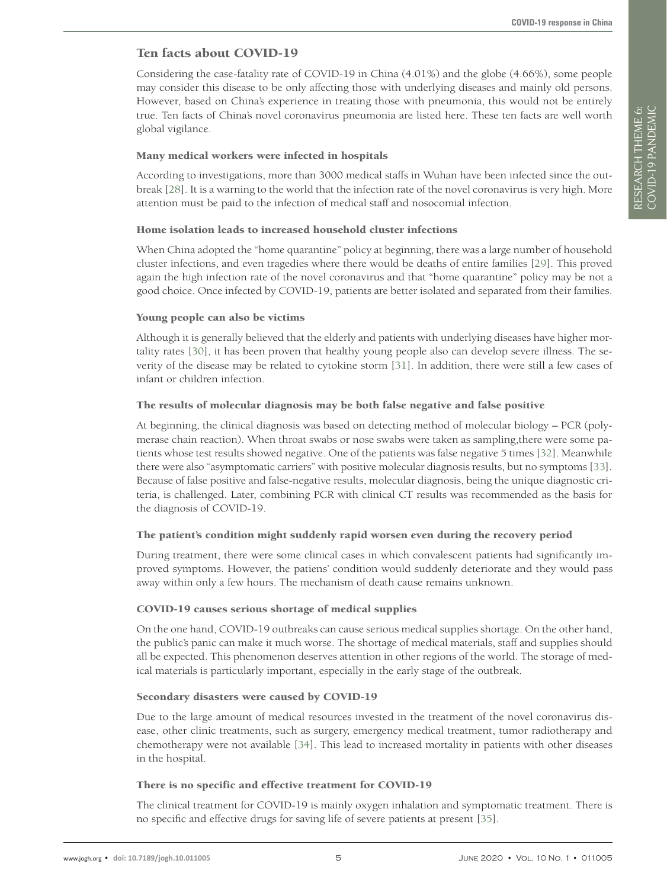# Ten facts about COVID-19

Considering the case-fatality rate of COVID-19 in China (4.01%) and the globe (4.66%), some people may consider this disease to be only affecting those with underlying diseases and mainly old persons. However, based on China's experience in treating those with pneumonia, this would not be entirely true. Ten facts of China's novel coronavirus pneumonia are listed here. These ten facts are well worth global vigilance.

#### Many medical workers were infected in hospitals

According to investigations, more than 3000 medical staffs in Wuhan have been infected since the outbreak [[28](#page-9-0)]. It is a warning to the world that the infection rate of the novel coronavirus is very high. More attention must be paid to the infection of medical staff and nosocomial infection.

#### Home isolation leads to increased household cluster infections

When China adopted the "home quarantine" policy at beginning, there was a large number of household cluster infections, and even tragedies where there would be deaths of entire families [[29](#page-9-1)]. This proved again the high infection rate of the novel coronavirus and that "home quarantine" policy may be not a good choice. Once infected by COVID-19, patients are better isolated and separated from their families.

#### Young people can also be victims

Although it is generally believed that the elderly and patients with underlying diseases have higher mortality rates [[30](#page-9-2)], it has been proven that healthy young people also can develop severe illness. The severity of the disease may be related to cytokine storm [[31\]](#page-9-3). In addition, there were still a few cases of infant or children infection.

#### The results of molecular diagnosis may be both false negative and false positive

At beginning, the clinical diagnosis was based on detecting method of molecular biology – PCR (polymerase chain reaction). When throat swabs or nose swabs were taken as sampling,there were some patients whose test results showed negative. One of the patients was false negative 5 times [[32](#page-9-4)]. Meanwhile there were also "asymptomatic carriers" with positive molecular diagnosis results, but no symptoms [[33\]](#page-9-5). Because of false positive and false-negative results, molecular diagnosis, being the unique diagnostic criteria, is challenged. Later, combining PCR with clinical CT results was recommended as the basis for the diagnosis of COVID-19.

#### The patient's condition might suddenly rapid worsen even during the recovery period

During treatment, there were some clinical cases in which convalescent patients had significantly improved symptoms. However, the patiens' condition would suddenly deteriorate and they would pass away within only a few hours. The mechanism of death cause remains unknown.

#### COVID-19 causes serious shortage of medical supplies

On the one hand, COVID-19 outbreaks can cause serious medical supplies shortage. On the other hand, the public's panic can make it much worse. The shortage of medical materials, staff and supplies should all be expected. This phenomenon deserves attention in other regions of the world. The storage of medical materials is particularly important, especially in the early stage of the outbreak.

#### Secondary disasters were caused by COVID-19

Due to the large amount of medical resources invested in the treatment of the novel coronavirus disease, other clinic treatments, such as surgery, emergency medical treatment, tumor radiotherapy and chemotherapy were not available [[34\]](#page-9-6). This lead to increased mortality in patients with other diseases in the hospital.

#### There is no specific and effective treatment for COVID-19

The clinical treatment for COVID-19 is mainly oxygen inhalation and symptomatic treatment. There is no specific and effective drugs for saving life of severe patients at present [[35\]](#page-9-7).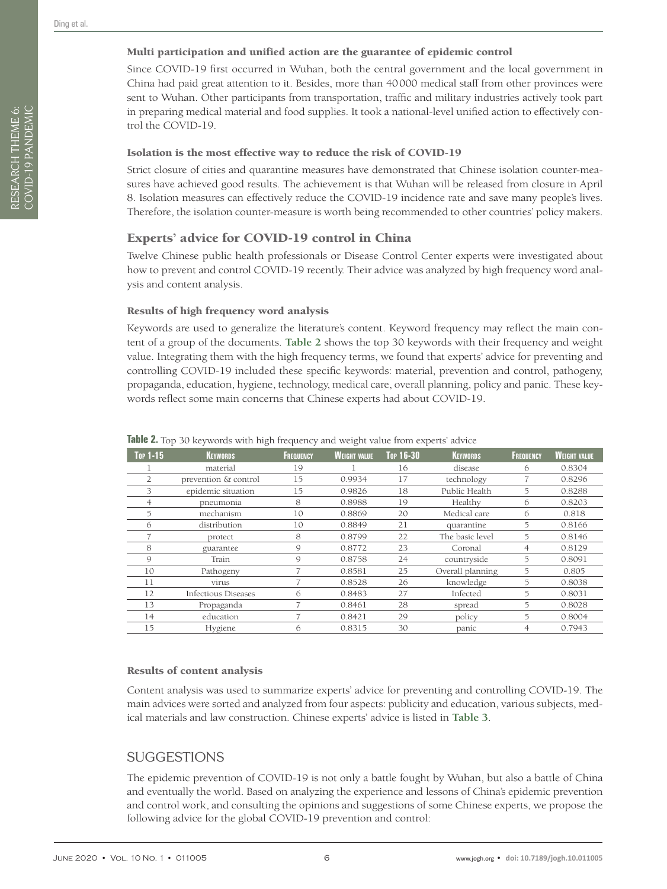#### Multi participation and unified action are the guarantee of epidemic control

Since COVID-19 first occurred in Wuhan, both the central government and the local government in China had paid great attention to it. Besides, more than 40000 medical staff from other provinces were sent to Wuhan. Other participants from transportation, traffic and military industries actively took part in preparing medical material and food supplies. It took a national-level unified action to effectively control the COVID-19.

#### Isolation is the most effective way to reduce the risk of COVID-19

Strict closure of cities and quarantine measures have demonstrated that Chinese isolation counter-measures have achieved good results. The achievement is that Wuhan will be released from closure in April 8. Isolation measures can effectively reduce the COVID-19 incidence rate and save many people's lives. Therefore, the isolation counter-measure is worth being recommended to other countries' policy makers.

#### Experts' advice for COVID-19 control in China

Twelve Chinese public health professionals or Disease Control Center experts were investigated about how to prevent and control COVID-19 recently. Their advice was analyzed by high frequency word analysis and content analysis.

#### Results of high frequency word analysis

Keywords are used to generalize the literature's content. Keyword frequency may reflect the main content of a group of the documents. **[Table](#page-5-0) 2** shows the top 30 keywords with their frequency and weight value. Integrating them with the high frequency terms, we found that experts' advice for preventing and controlling COVID-19 included these specific keywords: material, prevention and control, pathogeny, propaganda, education, hygiene, technology, medical care, overall planning, policy and panic. These keywords reflect some main concerns that Chinese experts had about COVID-19.

| Top 1-15 | <b>KEYWORDS</b>      | <b>FREQUENCY</b> | <b>WEIGHT VALUE</b> | <b>Top 16-30</b> | <b>KEYWORDS</b>  | <b>FREQUENCY</b> | <b>WEIGHT VALUE</b> |
|----------|----------------------|------------------|---------------------|------------------|------------------|------------------|---------------------|
|          | material             | 19               |                     | 16               | disease          | 6                | 0.8304              |
|          | prevention & control | 15               | 0.9934              | 17               | technology       | ÷                | 0.8296              |
| 3        | epidemic situation   | 15               | 0.9826              | 18               | Public Health    | 5                | 0.8288              |
| 4        | pneumonia            | 8                | 0.8988              | 19               | Healthy          | 6                | 0.8203              |
| 5        | mechanism            | 10               | 0.8869              | 20               | Medical care     | 6                | 0.818               |
| 6        | distribution         | 10               | 0.8849              | 21               | quarantine       | 5                | 0.8166              |
|          | protect              | 8                | 0.8799              | 22               | The basic level  | 5                | 0.8146              |
| 8        | guarantee            | 9                | 0.8772              | 23               | Coronal          | $\overline{4}$   | 0.8129              |
| 9        | Train                | 9                | 0.8758              | 24               | countryside      | 5                | 0.8091              |
| 10       | Pathogeny            |                  | 0.8581              | 25               | Overall planning | 5                | 0.805               |
| 11       | virus                |                  | 0.8528              | 26               | knowledge        | 5                | 0.8038              |
| 12       | Infectious Diseases  | б                | 0.8483              | 27               | Infected         | 5                | 0.8031              |
| 13       | Propaganda           |                  | 0.8461              | 28               | spread           | 5                | 0.8028              |
| 14       | education            |                  | 0.8421              | 29               | policy           | 5                | 0.8004              |
| 15       | Hygiene              | 6                | 0.8315              | 30               | panic            | 4                | 0.7943              |

#### <span id="page-5-0"></span>**Table 2.** Top 30 keywords with high frequency and weight value from experts' advice

#### Results of content analysis

Content analysis was used to summarize experts' advice for preventing and controlling COVID-19. The main advices were sorted and analyzed from four aspects: publicity and education, various subjects, medical materials and law construction. Chinese experts' advice is listed in **[Table](#page-6-0) 3**.

# SUGGESTIONS

The epidemic prevention of COVID-19 is not only a battle fought by Wuhan, but also a battle of China and eventually the world. Based on analyzing the experience and lessons of China's epidemic prevention and control work, and consulting the opinions and suggestions of some Chinese experts, we propose the following advice for the global COVID-19 prevention and control: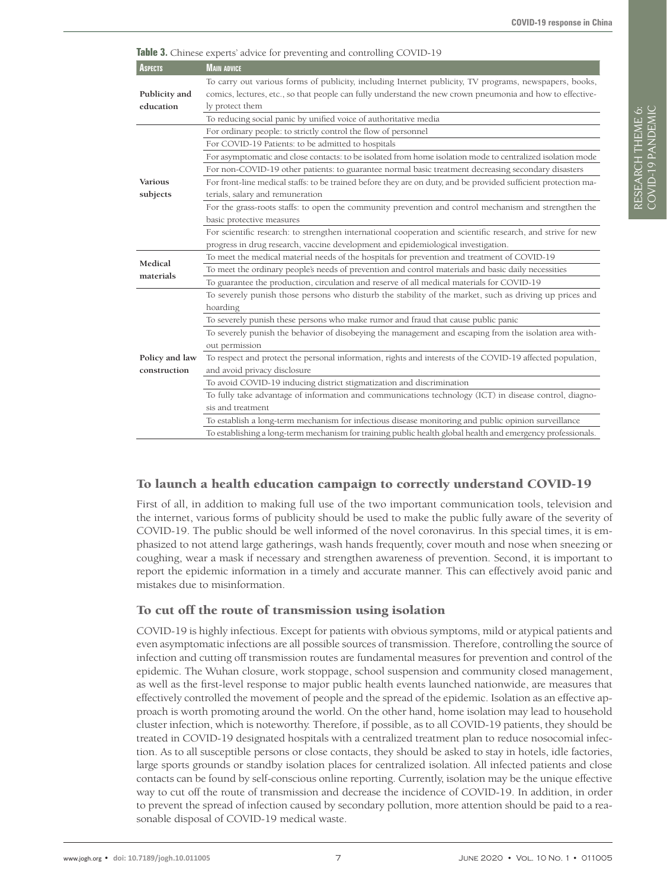| <b>ASPECTS</b>             | <b>MAIN ADVICE</b>                                                                                              |
|----------------------------|-----------------------------------------------------------------------------------------------------------------|
|                            | To carry out various forms of publicity, including Internet publicity, TV programs, newspapers, books,          |
| Publicity and              | comics, lectures, etc., so that people can fully understand the new crown pneumonia and how to effective-       |
| education                  | ly protect them                                                                                                 |
|                            | To reducing social panic by unified voice of authoritative media                                                |
| <b>Various</b><br>subjects | For ordinary people: to strictly control the flow of personnel                                                  |
|                            | For COVID-19 Patients: to be admitted to hospitals                                                              |
|                            | For asymptomatic and close contacts: to be isolated from home isolation mode to centralized isolation mode      |
|                            | For non-COVID-19 other patients: to guarantee normal basic treatment decreasing secondary disasters             |
|                            | For front-line medical staffs: to be trained before they are on duty, and be provided sufficient protection ma- |
|                            | terials, salary and remuneration                                                                                |
|                            | For the grass-roots staffs: to open the community prevention and control mechanism and strengthen the           |
|                            | basic protective measures                                                                                       |
|                            | For scientific research: to strengthen international cooperation and scientific research, and strive for new    |
|                            | progress in drug research, vaccine development and epidemiological investigation.                               |
| Medical<br>materials       | To meet the medical material needs of the hospitals for prevention and treatment of COVID-19                    |
|                            | To meet the ordinary people's needs of prevention and control materials and basic daily necessities             |
|                            | To guarantee the production, circulation and reserve of all medical materials for COVID-19                      |
|                            | To severely punish those persons who disturb the stability of the market, such as driving up prices and         |
|                            | hoarding                                                                                                        |
|                            | To severely punish these persons who make rumor and fraud that cause public panic                               |
|                            | To severely punish the behavior of disobeying the management and escaping from the isolation area with-         |
|                            | out permission                                                                                                  |
| Policy and law             | To respect and protect the personal information, rights and interests of the COVID-19 affected population,      |
| construction               | and avoid privacy disclosure                                                                                    |
|                            | To avoid COVID-19 inducing district stigmatization and discrimination                                           |
|                            | To fully take advantage of information and communications technology (ICT) in disease control, diagno-          |
|                            | sis and treatment                                                                                               |
|                            | To establish a long-term mechanism for infectious disease monitoring and public opinion surveillance            |
|                            | To establishing a long-term mechanism for training public health global health and emergency professionals.     |

# <span id="page-6-0"></span>**Table 3.** Chinese experts' advice for preventing and controlling COVID-19

# To launch a health education campaign to correctly understand COVID-19

First of all, in addition to making full use of the two important communication tools, television and the internet, various forms of publicity should be used to make the public fully aware of the severity of COVID-19. The public should be well informed of the novel coronavirus. In this special times, it is emphasized to not attend large gatherings, wash hands frequently, cover mouth and nose when sneezing or coughing, wear a mask if necessary and strengthen awareness of prevention. Second, it is important to report the epidemic information in a timely and accurate manner. This can effectively avoid panic and mistakes due to misinformation.

## To cut off the route of transmission using isolation

COVID-19 is highly infectious. Except for patients with obvious symptoms, mild or atypical patients and even asymptomatic infections are all possible sources of transmission. Therefore, controlling the source of infection and cutting off transmission routes are fundamental measures for prevention and control of the epidemic. The Wuhan closure, work stoppage, school suspension and community closed management, as well as the first-level response to major public health events launched nationwide, are measures that effectively controlled the movement of people and the spread of the epidemic. Isolation as an effective approach is worth promoting around the world. On the other hand, home isolation may lead to household cluster infection, which is noteworthy. Therefore, if possible, as to all COVID-19 patients, they should be treated in COVID-19 designated hospitals with a centralized treatment plan to reduce nosocomial infection. As to all susceptible persons or close contacts, they should be asked to stay in hotels, idle factories, large sports grounds or standby isolation places for centralized isolation. All infected patients and close contacts can be found by self-conscious online reporting. Currently, isolation may be the unique effective way to cut off the route of transmission and decrease the incidence of COVID-19. In addition, in order to prevent the spread of infection caused by secondary pollution, more attention should be paid to a reasonable disposal of COVID-19 medical waste.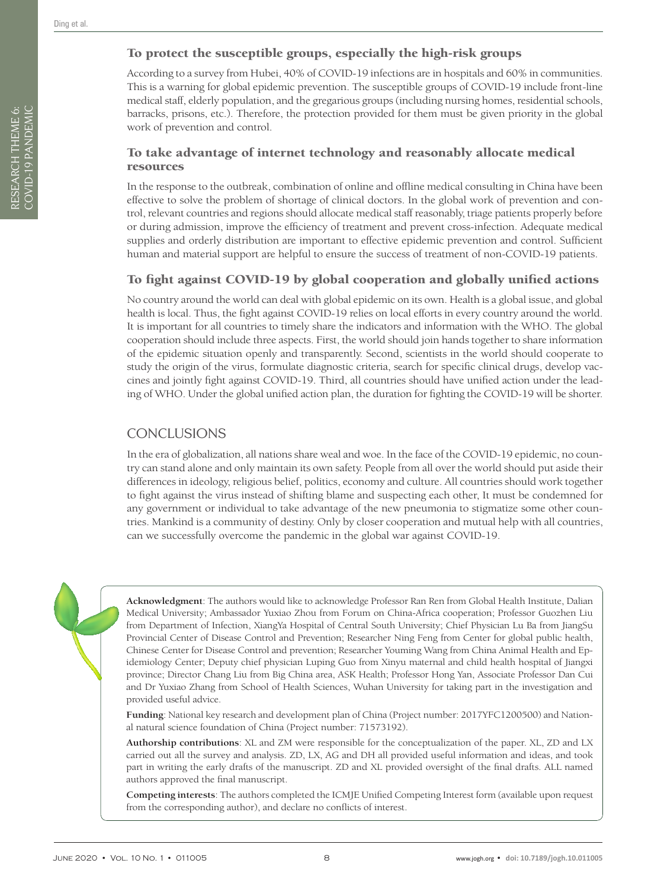# To protect the susceptible groups, especially the high-risk groups

According to a survey from Hubei, 40% of COVID-19 infections are in hospitals and 60% in communities. This is a warning for global epidemic prevention. The susceptible groups of COVID-19 include front-line medical staff, elderly population, and the gregarious groups (including nursing homes, residential schools, barracks, prisons, etc.). Therefore, the protection provided for them must be given priority in the global work of prevention and control.

## To take advantage of internet technology and reasonably allocate medical resources

In the response to the outbreak, combination of online and offline medical consulting in China have been effective to solve the problem of shortage of clinical doctors. In the global work of prevention and control, relevant countries and regions should allocate medical staff reasonably, triage patients properly before or during admission, improve the efficiency of treatment and prevent cross-infection. Adequate medical supplies and orderly distribution are important to effective epidemic prevention and control. Sufficient human and material support are helpful to ensure the success of treatment of non-COVID-19 patients.

# To fight against COVID-19 by global cooperation and globally unified actions

No country around the world can deal with global epidemic on its own. Health is a global issue, and global health is local. Thus, the fight against COVID-19 relies on local efforts in every country around the world. It is important for all countries to timely share the indicators and information with the WHO. The global cooperation should include three aspects. First, the world should join hands together to share information of the epidemic situation openly and transparently. Second, scientists in the world should cooperate to study the origin of the virus, formulate diagnostic criteria, search for specific clinical drugs, develop vaccines and jointly fight against COVID-19. Third, all countries should have unified action under the leading of WHO. Under the global unified action plan, the duration for fighting the COVID-19 will be shorter.

# **CONCLUSIONS**

In the era of globalization, all nations share weal and woe. In the face of the COVID-19 epidemic, no country can stand alone and only maintain its own safety. People from all over the world should put aside their differences in ideology, religious belief, politics, economy and culture. All countries should work together to fight against the virus instead of shifting blame and suspecting each other, It must be condemned for any government or individual to take advantage of the new pneumonia to stigmatize some other countries. Mankind is a community of destiny. Only by closer cooperation and mutual help with all countries, can we successfully overcome the pandemic in the global war against COVID-19.



**Acknowledgment**: The authors would like to acknowledge Professor Ran Ren from Global Health Institute, Dalian Medical University; Ambassador Yuxiao Zhou from Forum on China-Africa cooperation; Professor Guozhen Liu from Department of Infection, XiangYa Hospital of Central South University; Chief Physician Lu Ba from JiangSu Provincial Center of Disease Control and Prevention; Researcher Ning Feng from Center for global public health, Chinese Center for Disease Control and prevention; Researcher Youming Wang from China Animal Health and Epidemiology Center; Deputy chief physician Luping Guo from Xinyu maternal and child health hospital of Jiangxi province; Director Chang Liu from Big China area, ASK Health; Professor Hong Yan, Associate Professor Dan Cui and Dr Yuxiao Zhang from School of Health Sciences, Wuhan University for taking part in the investigation and provided useful advice.

**Funding**: National key research and development plan of China (Project number: 2017YFC1200500) and National natural science foundation of China (Project number: 71573192).

**Authorship contributions**: XL and ZM were responsible for the conceptualization of the paper. XL, ZD and LX carried out all the survey and analysis. ZD, LX, AG and DH all provided useful information and ideas, and took part in writing the early drafts of the manuscript. ZD and XL provided oversight of the final drafts. ALL named authors approved the final manuscript.

**Competing interests**: The authors completed the ICMJE Unified Competing Interest form (available upon request from the corresponding author), and declare no conflicts of interest.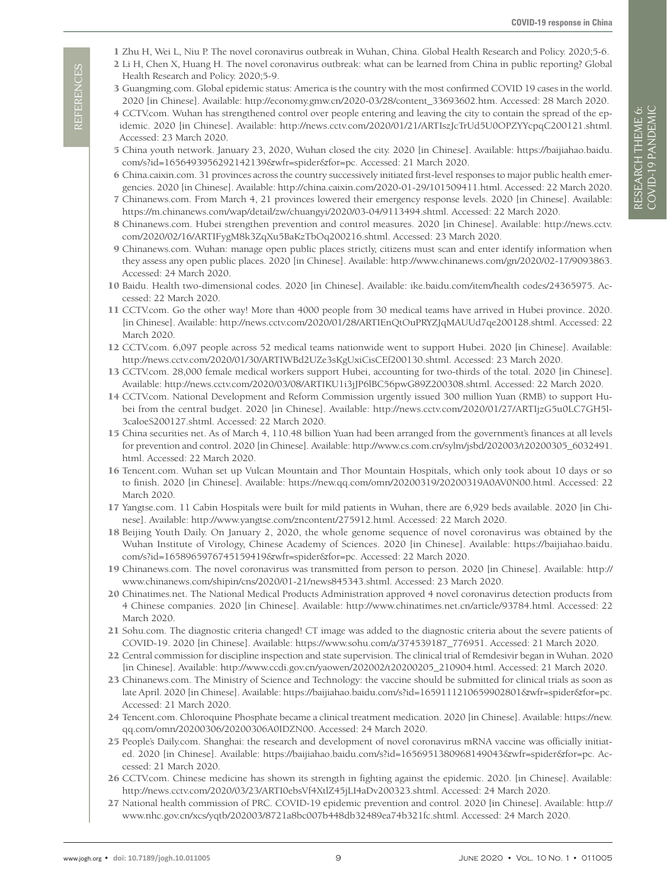- <span id="page-8-0"></span>1 Zhu H, Wei L, Niu P. The novel coronavirus outbreak in Wuhan, China. Global Health Research and Policy. 2020;5-6.
- <span id="page-8-1"></span>2 Li H, Chen X, Huang H. The novel coronavirus outbreak: what can be learned from China in public reporting? Global Health Research and Policy. 2020;5-9.
- <span id="page-8-2"></span>3 Guangming.com. Global epidemic status: America is the country with the most confirmed COVID 19 cases in the world. 2020 [in Chinese]. Available: http://economy.gmw.cn/2020-03/28/content\_33693602.htm. Accessed: 28 March 2020.
- <span id="page-8-3"></span>4 CCTV.com. Wuhan has strengthened control over people entering and leaving the city to contain the spread of the epidemic. 2020 [in Chinese]. Available: http://news.cctv.com/2020/01/21/ARTIszJcTrUd5U0OPZYYcpqC200121.shtml. Accessed: 23 March 2020.
- <span id="page-8-4"></span>5 China youth network. January 23, 2020, Wuhan closed the city. 2020 [in Chinese]. Available: [https://baijiahao.baidu.](https://baijiahao.baidu.com/s?id=1656493956292142139&wfr=spider&for=pc) [com/s?id=1656493956292142139&wfr=spider&for=pc](https://baijiahao.baidu.com/s?id=1656493956292142139&wfr=spider&for=pc). Accessed: 21 March 2020.
- <span id="page-8-5"></span>6 China.caixin.com. 31 provinces across the country successively initiated first-level responses to major public health emergencies. 2020 [in Chinese]. Available: http://china.caixin.com/2020-01-29/101509411.html. Accessed: 22 March 2020.
- <span id="page-8-6"></span>7 Chinanews.com. From March 4, 21 provinces lowered their emergency response levels. 2020 [in Chinese]. Available: https://m.chinanews.com/wap/detail/zw/chuangyi/2020/03-04/9113494.shtml. Accessed: 22 March 2020.
- <span id="page-8-7"></span>8 Chinanews.com. Hubei strengthen prevention and control measures. 2020 [in Chinese]. Available: [http://news.cctv.](http://news.cctv.com/2020/02/16/ARTIFygM8k3ZqXu5BaKzTbOq200216.shtml) [com/2020/02/16/ARTIFygM8k3ZqXu5BaKzTbOq200216.shtml](http://news.cctv.com/2020/02/16/ARTIFygM8k3ZqXu5BaKzTbOq200216.shtml). Accessed: 23 March 2020.
- <span id="page-8-8"></span>9 Chinanews.com. Wuhan: manage open public places strictly, citizens must scan and enter identify information when they assess any open public places. 2020 [in Chinese]. Available: http://www.chinanews.com/gn/2020/02-17/9093863. Accessed: 24 March 2020.
- <span id="page-8-9"></span>10 Baidu. Health two-dimensional codes. 2020 [in Chinese]. Available: ike.baidu.com/item/health codes/24365975. Accessed: 22 March 2020.
- <span id="page-8-10"></span>11 CCTV.com. Go the other way! More than 4000 people from 30 medical teams have arrived in Hubei province. 2020. [in Chinese]. Available: http://news.cctv.com/2020/01/28/ARTIEnQtOuPRYZJqMAUUd7qe200128.shtml. Accessed: 22 March 2020.
- <span id="page-8-11"></span>12 CCTV.com. 6,097 people across 52 medical teams nationwide went to support Hubei. 2020 [in Chinese]. Available: http://news.cctv.com/2020/01/30/ARTIWBd2UZe3sKgUxiCisCEf200130.shtml. Accessed: 23 March 2020.
- <span id="page-8-12"></span>13 CCTV.com. 28,000 female medical workers support Hubei, accounting for two-thirds of the total. 2020 [in Chinese]. Available: http://news.cctv.com/2020/03/08/ARTIKU1i3jJP6lBC56pwG89Z200308.shtml. Accessed: 22 March 2020.
- <span id="page-8-13"></span>14 CCTV.com. National Development and Reform Commission urgently issued 300 million Yuan (RMB) to support Hubei from the central budget. 2020 [in Chinese]. Available: [http://news.cctv.com/2020/01/27/ARTIjzG5u0LC7GH5l](http://news.cctv.com/2020/01/27/ARTIjzG5u0LC7GH5l3caloeS200127.shtml)-[3caloeS200127.shtml](http://news.cctv.com/2020/01/27/ARTIjzG5u0LC7GH5l3caloeS200127.shtml). Accessed: 22 March 2020.
- <span id="page-8-14"></span>15 China securities net. As of March 4, 110.48 billion Yuan had been arranged from the government's finances at all levels for prevention and control. 2020 [in Chinese]. Available: [http://www.cs.com.cn/sylm/jsbd/202003/t20200305\\_6032491.](http://www.cs.com.cn/sylm/jsbd/202003/t20200305_6032491.html) [html.](http://www.cs.com.cn/sylm/jsbd/202003/t20200305_6032491.html) Accessed: 22 March 2020.
- <span id="page-8-15"></span>16 Tencent.com. Wuhan set up Vulcan Mountain and Thor Mountain Hospitals, which only took about 10 days or so to finish. 2020 [in Chinese]. Available: https://new.qq.com/omn/20200319/20200319A0AV0N00.html. Accessed: 22 March 2020.
- <span id="page-8-16"></span>17 Yangtse.com. 11 Cabin Hospitals were built for mild patients in Wuhan, there are 6,929 beds available. 2020 [in Chinese]. Available: http://www.yangtse.com/zncontent/275912.html. Accessed: 22 March 2020.
- <span id="page-8-17"></span>18 Beijing Youth Daily. On January 2, 2020, the whole genome sequence of novel coronavirus was obtained by the Wuhan Institute of Virology, Chinese Academy of Sciences. 2020 [in Chinese]. Available: [https://baijiahao.baidu.](https://baijiahao.baidu.com/s?id=1658965976745159419&wfr=spider&for=pc) [com/s?id=1658965976745159419&wfr=spider&for=pc](https://baijiahao.baidu.com/s?id=1658965976745159419&wfr=spider&for=pc). Accessed: 22 March 2020.
- <span id="page-8-18"></span>19 Chinanews.com. The novel coronavirus was transmitted from person to person. 2020 [in Chinese]. Available: [http://](http://www.chinanews.com/shipin/cns/2020/01-21/news845343.shtml) [www.chinanews.com/shipin/cns/2020/01-21/news845343.shtml](http://www.chinanews.com/shipin/cns/2020/01-21/news845343.shtml). Accessed: 23 March 2020.
- 20 Chinatimes.net. The National Medical Products Administration approved 4 novel coronavirus detection products from 4 Chinese companies. 2020 [in Chinese]. Available: http://www.chinatimes.net.cn/article/93784.html. Accessed: 22 March 2020.
- <span id="page-8-19"></span>21 Sohu.com. The diagnostic criteria changed! CT image was added to the diagnostic criteria about the severe patients of COVID-19. 2020 [in Chinese]. Available: https://www.sohu.com/a/374539187\_776951. Accessed: 21 March 2020.
- <span id="page-8-20"></span>22 Central commission for discipline inspection and state supervision. The clinical trial of Remdesivir began in Wuhan. 2020 [in Chinese]. Available: http://www.ccdi.gov.cn/yaowen/202002/t20200205\_210904.html. Accessed: 21 March 2020.
- <span id="page-8-21"></span>23 Chinanews.com. The Ministry of Science and Technology: the vaccine should be submitted for clinical trials as soon as late April. 2020 [in Chinese]. Available: https://baijiahao.baidu.com/s?id=1659111210659902801&wfr=spider&for=pc. Accessed: 21 March 2020.
- <span id="page-8-22"></span>24 Tencent.com. Chloroquine Phosphate became a clinical treatment medication. 2020 [in Chinese]. Available: [https://new.](https://new.qq.com/omn/20200306/20200306A0IDZN00) [qq.com/omn/20200306/20200306A0IDZN00](https://new.qq.com/omn/20200306/20200306A0IDZN00). Accessed: 24 March 2020.
- <span id="page-8-23"></span>25 People's Daily.com. Shanghai: the research and development of novel coronavirus mRNA vaccine was officially initiated. 2020 [in Chinese]. Available: <https://baijiahao.baidu.com/s?id=1656951380968149043&wfr=spider&for=pc>. Accessed: 21 March 2020.
- <span id="page-8-24"></span>26 CCTV.com. Chinese medicine has shown its strength in fighting against the epidemic. 2020. [in Chinese]. Available: http://news.cctv.com/2020/03/23/ARTI0ebsVf4XtlZ45jLI4aDv200323.shtml. Accessed: 24 March 2020.
- <span id="page-8-25"></span>27 National health commission of PRC. COVID-19 epidemic prevention and control. 2020 [in Chinese]. Available: [http://](http://www.nhc.gov.cn/xcs/yqtb/202003/8721a8bc007b448db32489ea74b321fc.shtml) [www.nhc.gov.cn/xcs/yqtb/202003/8721a8bc007b448db32489ea74b321fc.shtml.](http://www.nhc.gov.cn/xcs/yqtb/202003/8721a8bc007b448db32489ea74b321fc.shtml) Accessed: 24 March 2020.